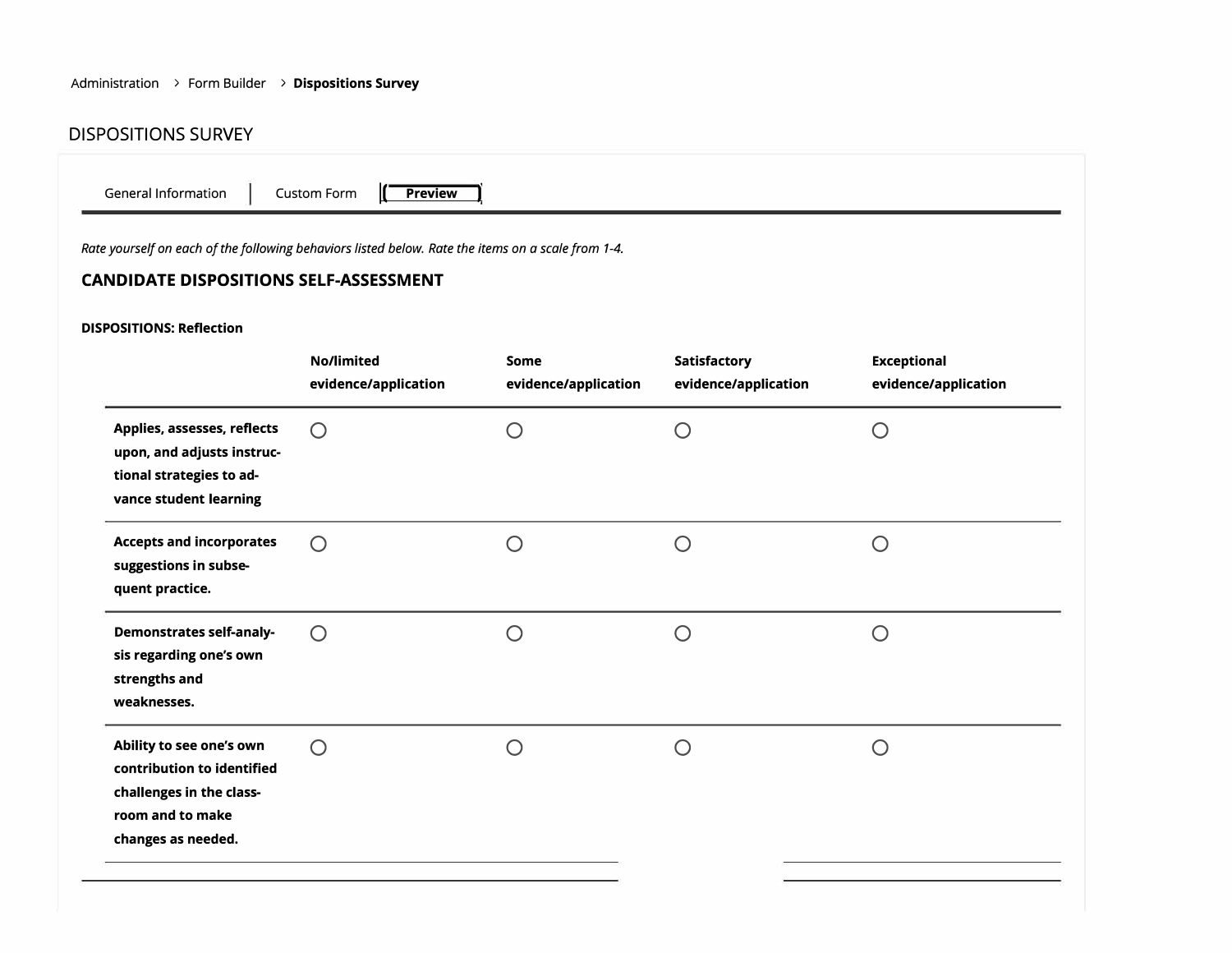## Administration **>** Form Builder **> Dispositions Survey**

## DISPOSITIONS SURVEY

| Rate yourself on each of the following behaviors listed below. Rate the items on a scale from 1-4.<br><b>CANDIDATE DISPOSITIONS SELF-ASSESSMENT</b> |                                    |                              |                                      |                                                   |  |  |
|-----------------------------------------------------------------------------------------------------------------------------------------------------|------------------------------------|------------------------------|--------------------------------------|---------------------------------------------------|--|--|
| <b>DISPOSITIONS: Reflection</b>                                                                                                                     |                                    |                              |                                      |                                                   |  |  |
|                                                                                                                                                     | No/limited<br>evidence/application | Some<br>evidence/application | Satisfactory<br>evidence/application | <b>Exceptional</b><br>evidence/application        |  |  |
| Applies, assesses, reflects<br>upon, and adjusts instruc-<br>tional strategies to ad-<br>vance student learning                                     | $\bigcirc$                         | $\bigcirc$                   | $\bigcirc$                           | $\bigcirc$                                        |  |  |
| <b>Accepts and incorporates</b><br>suggestions in subse-<br>quent practice.                                                                         | $\bigcirc$                         | $\bigcirc$                   | $\bigcirc$                           | $\bigcirc$                                        |  |  |
| <b>Demonstrates self-analy-</b><br>sis regarding one's own<br>strengths and<br>weaknesses.                                                          | $\bigcirc$                         | $\bigcirc$                   | ∩                                    | $\bigcirc$                                        |  |  |
| Ability to see one's own<br>contribution to identified<br>challenges in the class-<br>room and to make<br>changes as needed.                        | $\bigcirc$                         | $\bigcirc$                   | $\bigcirc$                           | $\left(\begin{matrix} 1 \\ 2 \end{matrix}\right)$ |  |  |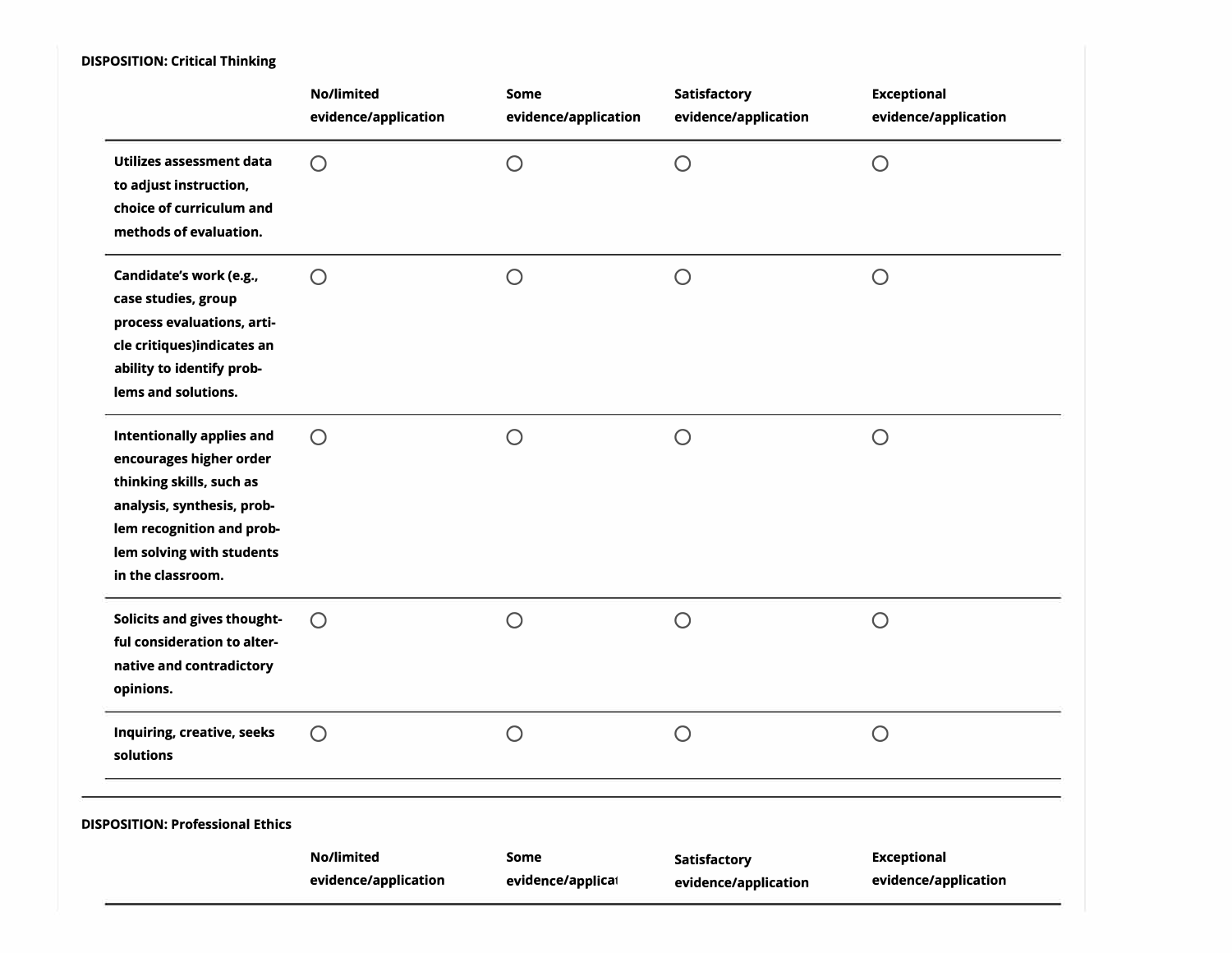## **DISPOSITION: Critical Thinking**

|                                                                                                                                                                                                      | No/limited<br>evidence/application | <b>Some</b><br>evidence/application | <b>Satisfactory</b><br>evidence/application | <b>Exceptional</b><br>evidence/application |
|------------------------------------------------------------------------------------------------------------------------------------------------------------------------------------------------------|------------------------------------|-------------------------------------|---------------------------------------------|--------------------------------------------|
| Utilizes assessment data<br>to adjust instruction,<br>choice of curriculum and<br>methods of evaluation.                                                                                             | $\bigcirc$                         | $\bigcirc$                          | $\bigcirc$                                  | $\bigcirc$                                 |
| Candidate's work (e.g.,<br>case studies, group<br>process evaluations, arti-<br>cle critiques)indicates an<br>ability to identify prob-<br>lems and solutions.                                       | $\bigcirc$                         | $\bigcirc$                          | $\bigcirc$                                  | $\bigcirc$                                 |
| <b>Intentionally applies and</b><br>encourages higher order<br>thinking skills, such as<br>analysis, synthesis, prob-<br>lem recognition and prob-<br>lem solving with students<br>in the classroom. | $\bigcirc$                         | $\bigcirc$                          | $\bigcirc$                                  | $\bigcirc$                                 |
| Solicits and gives thought-<br>ful consideration to alter-<br>native and contradictory<br>opinions.                                                                                                  | $\bigcirc$                         | $\bigcirc$                          | $\bigcirc$                                  | $\bigcirc$                                 |
| Inquiring, creative, seeks<br>solutions                                                                                                                                                              | $\bigcirc$                         | $\bigcirc$                          | $\bigcirc$                                  | $\bigcirc$                                 |
| <b>DISPOSITION: Professional Ethics</b>                                                                                                                                                              |                                    |                                     |                                             |                                            |
|                                                                                                                                                                                                      | No/limited<br>evidence/application | Some<br>evidence/applicat           | Satisfactory<br>evidence/application        | <b>Exceptional</b><br>evidence/application |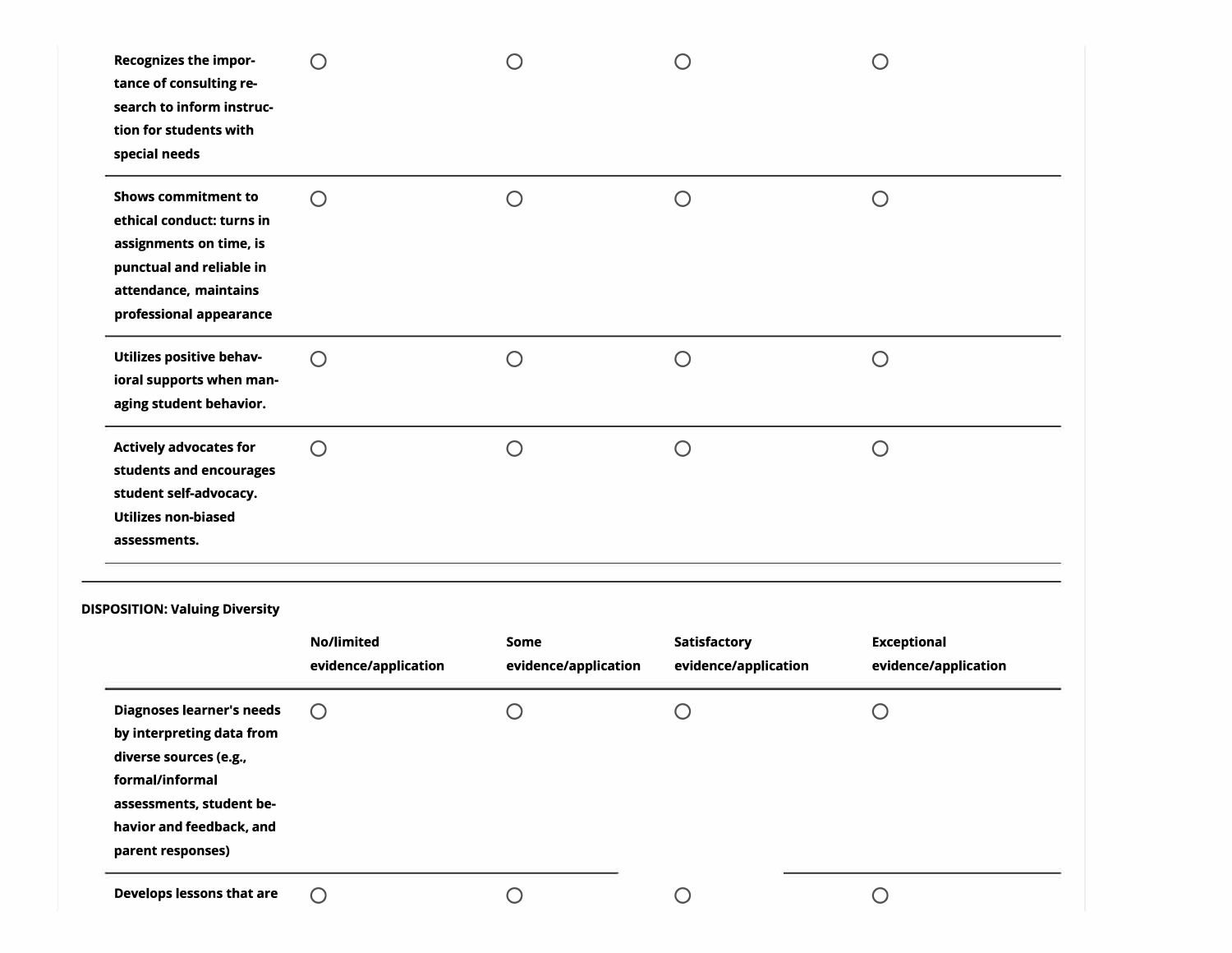| diverse sources (e.g.,<br>formal/informal<br>assessments, student be-                                                                                              |                                    |                              |                                               |                                            |
|--------------------------------------------------------------------------------------------------------------------------------------------------------------------|------------------------------------|------------------------------|-----------------------------------------------|--------------------------------------------|
| <b>Diagnoses learner's needs</b><br>by interpreting data from                                                                                                      | O                                  | O                            | $\left( \begin{array}{c} \end{array} \right)$ | $\bigcirc$                                 |
| <b>DISPOSITION: Valuing Diversity</b>                                                                                                                              | No/limited<br>evidence/application | Some<br>evidence/application | <b>Satisfactory</b><br>evidence/application   | <b>Exceptional</b><br>evidence/application |
| <b>Actively advocates for</b><br>students and encourages<br>student self-advocacy.<br><b>Utilizes non-biased</b><br>assessments.                                   | $\bigcirc$                         | $\bigcirc$                   | $\bigcap$                                     | $\bigcirc$                                 |
| <b>Utilizes positive behav-</b><br>ioral supports when man-<br>aging student behavior.                                                                             | Ω                                  | $\bigcirc$                   | $\bigcirc$                                    | $\bigcirc$                                 |
| <b>Shows commitment to</b><br>ethical conduct: turns in<br>assignments on time, is<br>punctual and reliable in<br>attendance, maintains<br>professional appearance | Ω                                  | $\bigcirc$                   | $\bigcirc$                                    | $\bigcirc$                                 |
| <b>Recognizes the impor-</b><br>tance of consulting re-<br>search to inform instruc-<br>tion for students with<br>special needs                                    |                                    |                              |                                               |                                            |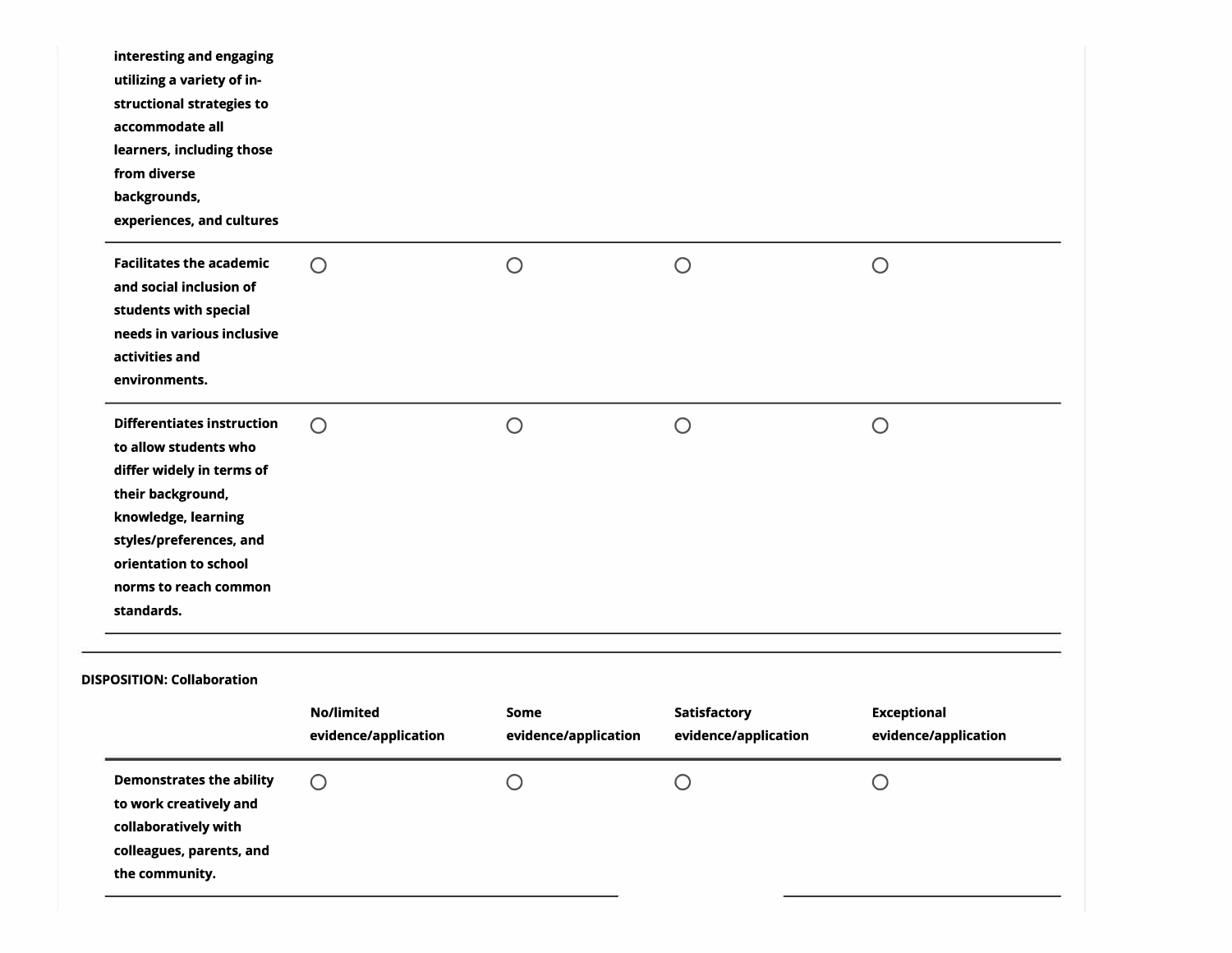| <b>Demonstrates the ability</b><br>to work creatively and<br>collaboratively with                                                                                                                                              | $\bigcirc$                         | ∩                            |                                      | $\bigcirc$                                 |
|--------------------------------------------------------------------------------------------------------------------------------------------------------------------------------------------------------------------------------|------------------------------------|------------------------------|--------------------------------------|--------------------------------------------|
| DISPOSITION: Collaboration                                                                                                                                                                                                     | No/limited<br>evidence/application | Some<br>evidence/application | Satisfactory<br>evidence/application | <b>Exceptional</b><br>evidence/application |
| <b>Differentiates instruction</b><br>to allow students who<br>differ widely in terms of<br>their background,<br>knowledge, learning<br>styles/preferences, and<br>orientation to school<br>norms to reach common<br>standards. | $\bigcirc$                         | $\bigcirc$                   | $\bigcirc$                           | $\bigcirc$                                 |
| <b>Facilitates the academic</b><br>and social inclusion of<br>students with special<br>needs in various inclusive<br>activities and<br>environments.                                                                           | $\bigcirc$                         | $\bigcirc$                   | $\bigcirc$                           | $\bigcirc$                                 |
| utilizing a variety of in-<br>structional strategies to<br>accommodate all<br>learners, including those<br>from diverse<br>backgrounds,<br>experiences, and cultures                                                           |                                    |                              |                                      |                                            |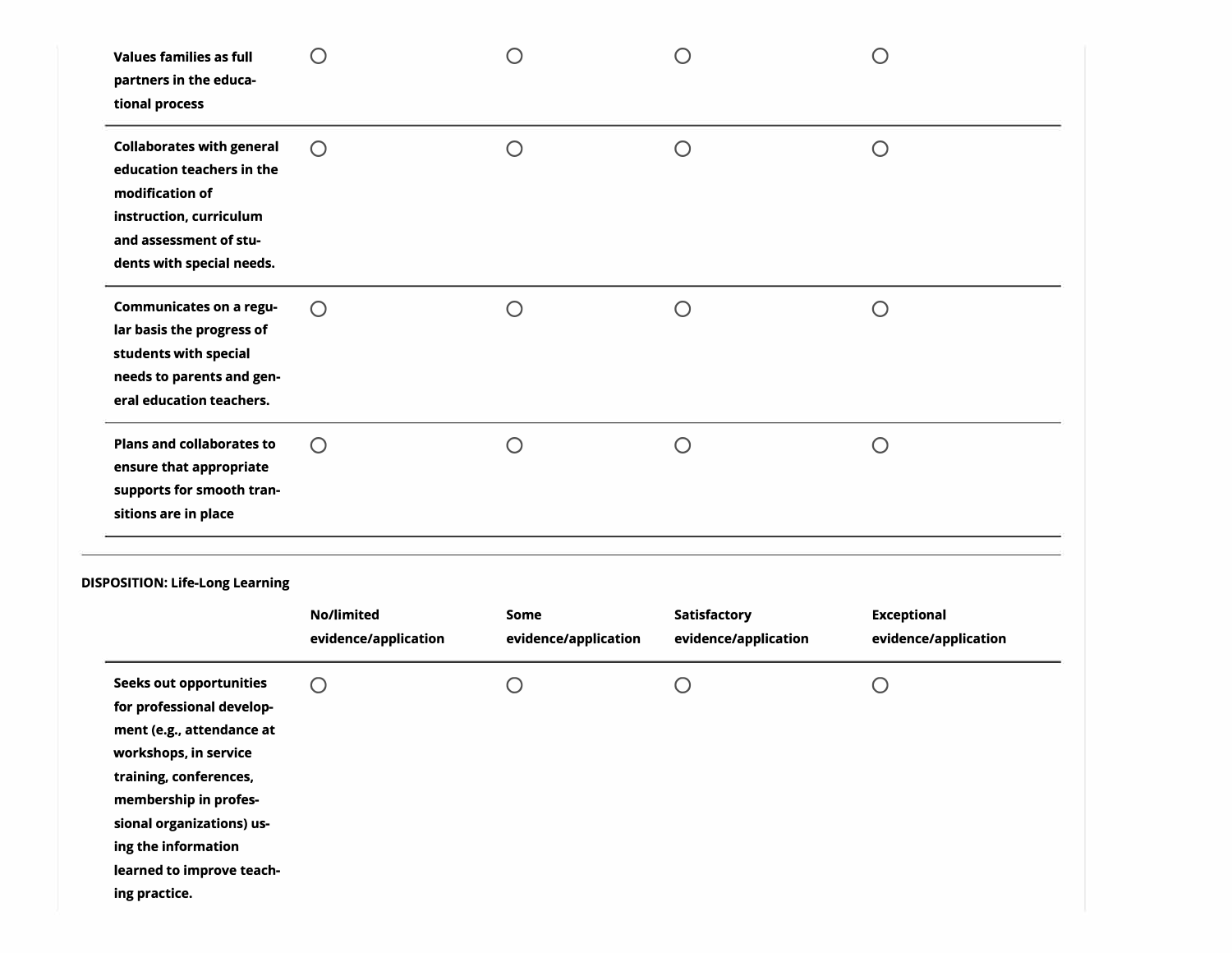| <b>Collaborates with general</b><br>$\bigcirc$<br>O<br>O<br>$\bigcirc$<br>education teachers in the<br>modification of<br>instruction, curriculum<br>and assessment of stu-<br>dents with special needs.<br><b>Communicates on a regu-</b><br>$\bigcirc$<br>$\bigcirc$<br>$\bigcirc$<br>$\bigcirc$<br>lar basis the progress of<br>students with special<br>needs to parents and gen-<br>eral education teachers.<br><b>Plans and collaborates to</b><br>$\bigcirc$<br>$\bigcirc$<br>$\bigcirc$<br>$\bigcirc$<br>ensure that appropriate<br>supports for smooth tran-<br>sitions are in place<br><b>No/limited</b><br>Satisfactory<br><b>Exceptional</b><br>Some<br>evidence/application<br>evidence/application<br>evidence/application<br>evidence/application<br><b>Seeks out opportunities</b><br>O<br>O<br>Ω<br>$\bigcirc$<br>for professional develop-<br>ment (e.g., attendance at<br>workshops, in service<br>training, conferences,<br>membership in profes-<br>sional organizations) us-<br>ing the information<br>learned to improve teach-<br>ing practice. | <b>Values families as full</b><br>partners in the educa-<br>tional process | $\left( \begin{array}{c} \end{array} \right)$ | ( ) | $\left( \begin{array}{c} \cdot \end{array} \right)$ | O |
|-------------------------------------------------------------------------------------------------------------------------------------------------------------------------------------------------------------------------------------------------------------------------------------------------------------------------------------------------------------------------------------------------------------------------------------------------------------------------------------------------------------------------------------------------------------------------------------------------------------------------------------------------------------------------------------------------------------------------------------------------------------------------------------------------------------------------------------------------------------------------------------------------------------------------------------------------------------------------------------------------------------------------------------------------------------------------|----------------------------------------------------------------------------|-----------------------------------------------|-----|-----------------------------------------------------|---|
| DISPOSITION: Life-Long Learning                                                                                                                                                                                                                                                                                                                                                                                                                                                                                                                                                                                                                                                                                                                                                                                                                                                                                                                                                                                                                                         |                                                                            |                                               |     |                                                     |   |
|                                                                                                                                                                                                                                                                                                                                                                                                                                                                                                                                                                                                                                                                                                                                                                                                                                                                                                                                                                                                                                                                         |                                                                            |                                               |     |                                                     |   |
|                                                                                                                                                                                                                                                                                                                                                                                                                                                                                                                                                                                                                                                                                                                                                                                                                                                                                                                                                                                                                                                                         |                                                                            |                                               |     |                                                     |   |
|                                                                                                                                                                                                                                                                                                                                                                                                                                                                                                                                                                                                                                                                                                                                                                                                                                                                                                                                                                                                                                                                         |                                                                            |                                               |     |                                                     |   |
|                                                                                                                                                                                                                                                                                                                                                                                                                                                                                                                                                                                                                                                                                                                                                                                                                                                                                                                                                                                                                                                                         |                                                                            |                                               |     |                                                     |   |
|                                                                                                                                                                                                                                                                                                                                                                                                                                                                                                                                                                                                                                                                                                                                                                                                                                                                                                                                                                                                                                                                         |                                                                            |                                               |     |                                                     |   |